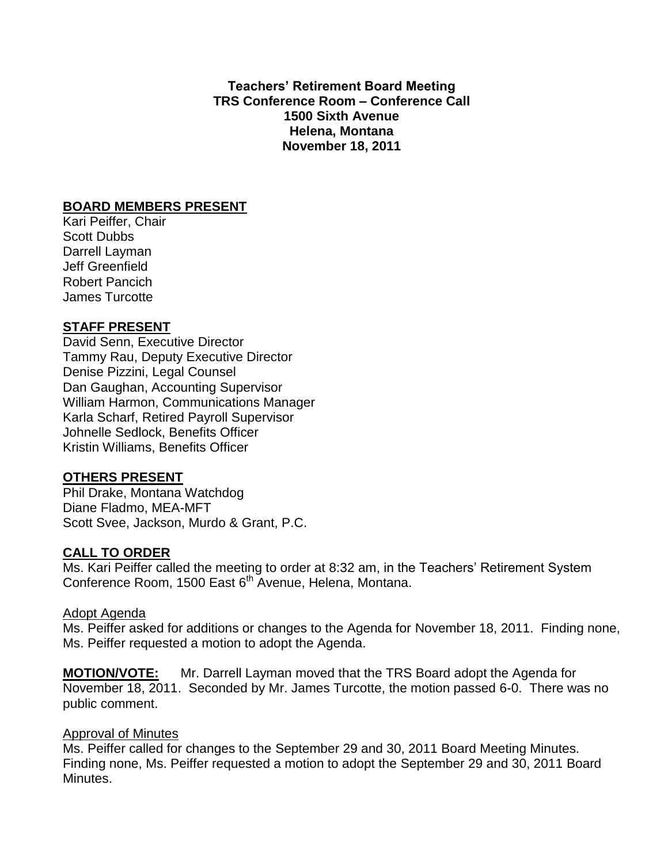**Teachers' Retirement Board Meeting TRS Conference Room – Conference Call 1500 Sixth Avenue Helena, Montana November 18, 2011**

# **BOARD MEMBERS PRESENT**

Kari Peiffer, Chair Scott Dubbs Darrell Layman Jeff Greenfield Robert Pancich James Turcotte

# **STAFF PRESENT**

David Senn, Executive Director Tammy Rau, Deputy Executive Director Denise Pizzini, Legal Counsel Dan Gaughan, Accounting Supervisor William Harmon, Communications Manager Karla Scharf, Retired Payroll Supervisor Johnelle Sedlock, Benefits Officer Kristin Williams, Benefits Officer

# **OTHERS PRESENT**

Phil Drake, Montana Watchdog Diane Fladmo, MEA-MFT Scott Svee, Jackson, Murdo & Grant, P.C.

# **CALL TO ORDER**

Ms. Kari Peiffer called the meeting to order at 8:32 am, in the Teachers' Retirement System Conference Room, 1500 East 6<sup>th</sup> Avenue, Helena, Montana.

# Adopt Agenda

Ms. Peiffer asked for additions or changes to the Agenda for November 18, 2011. Finding none, Ms. Peiffer requested a motion to adopt the Agenda.

**MOTION/VOTE:** Mr. Darrell Layman moved that the TRS Board adopt the Agenda for November 18, 2011. Seconded by Mr. James Turcotte, the motion passed 6-0. There was no public comment.

# Approval of Minutes

Ms. Peiffer called for changes to the September 29 and 30, 2011 Board Meeting Minutes. Finding none, Ms. Peiffer requested a motion to adopt the September 29 and 30, 2011 Board Minutes.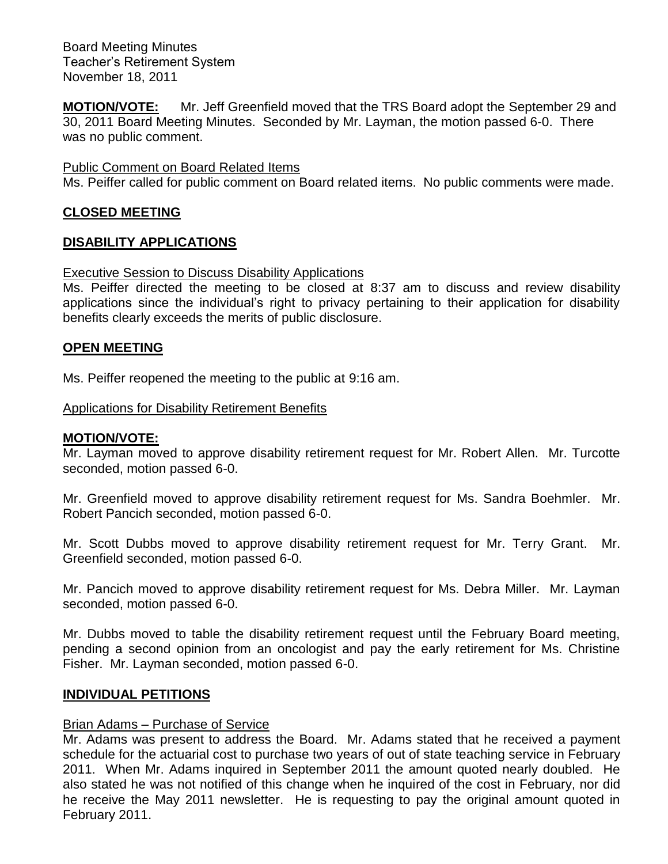**MOTION/VOTE:** Mr. Jeff Greenfield moved that the TRS Board adopt the September 29 and 30, 2011 Board Meeting Minutes. Seconded by Mr. Layman, the motion passed 6-0. There was no public comment.

#### Public Comment on Board Related Items

Ms. Peiffer called for public comment on Board related items. No public comments were made.

### **CLOSED MEETING**

### **DISABILITY APPLICATIONS**

#### Executive Session to Discuss Disability Applications

Ms. Peiffer directed the meeting to be closed at 8:37 am to discuss and review disability applications since the individual's right to privacy pertaining to their application for disability benefits clearly exceeds the merits of public disclosure.

#### **OPEN MEETING**

Ms. Peiffer reopened the meeting to the public at 9:16 am.

### Applications for Disability Retirement Benefits

#### **MOTION/VOTE:**

Mr. Layman moved to approve disability retirement request for Mr. Robert Allen. Mr. Turcotte seconded, motion passed 6-0.

Mr. Greenfield moved to approve disability retirement request for Ms. Sandra Boehmler. Mr. Robert Pancich seconded, motion passed 6-0.

Mr. Scott Dubbs moved to approve disability retirement request for Mr. Terry Grant. Mr. Greenfield seconded, motion passed 6-0.

Mr. Pancich moved to approve disability retirement request for Ms. Debra Miller. Mr. Layman seconded, motion passed 6-0.

Mr. Dubbs moved to table the disability retirement request until the February Board meeting, pending a second opinion from an oncologist and pay the early retirement for Ms. Christine Fisher. Mr. Layman seconded, motion passed 6-0.

#### **INDIVIDUAL PETITIONS**

#### Brian Adams – Purchase of Service

Mr. Adams was present to address the Board. Mr. Adams stated that he received a payment schedule for the actuarial cost to purchase two years of out of state teaching service in February 2011. When Mr. Adams inquired in September 2011 the amount quoted nearly doubled. He also stated he was not notified of this change when he inquired of the cost in February, nor did he receive the May 2011 newsletter. He is requesting to pay the original amount quoted in February 2011.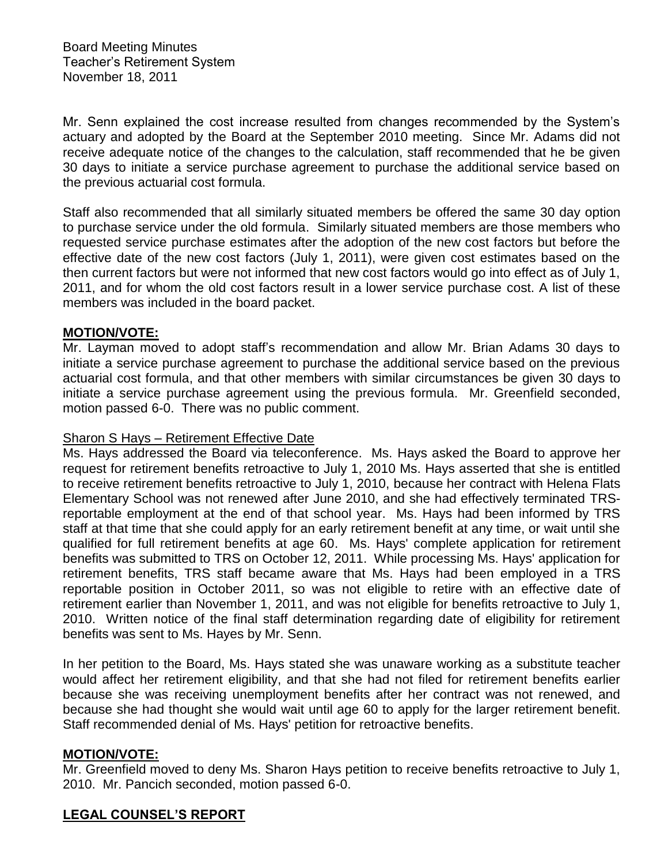Mr. Senn explained the cost increase resulted from changes recommended by the System's actuary and adopted by the Board at the September 2010 meeting. Since Mr. Adams did not receive adequate notice of the changes to the calculation, staff recommended that he be given 30 days to initiate a service purchase agreement to purchase the additional service based on the previous actuarial cost formula.

Staff also recommended that all similarly situated members be offered the same 30 day option to purchase service under the old formula. Similarly situated members are those members who requested service purchase estimates after the adoption of the new cost factors but before the effective date of the new cost factors (July 1, 2011), were given cost estimates based on the then current factors but were not informed that new cost factors would go into effect as of July 1, 2011, and for whom the old cost factors result in a lower service purchase cost. A list of these members was included in the board packet.

# **MOTION/VOTE:**

Mr. Layman moved to adopt staff's recommendation and allow Mr. Brian Adams 30 days to initiate a service purchase agreement to purchase the additional service based on the previous actuarial cost formula, and that other members with similar circumstances be given 30 days to initiate a service purchase agreement using the previous formula. Mr. Greenfield seconded, motion passed 6-0. There was no public comment.

# Sharon S Hays – Retirement Effective Date

Ms. Hays addressed the Board via teleconference. Ms. Hays asked the Board to approve her request for retirement benefits retroactive to July 1, 2010 Ms. Hays asserted that she is entitled to receive retirement benefits retroactive to July 1, 2010, because her contract with Helena Flats Elementary School was not renewed after June 2010, and she had effectively terminated TRSreportable employment at the end of that school year. Ms. Hays had been informed by TRS staff at that time that she could apply for an early retirement benefit at any time, or wait until she qualified for full retirement benefits at age 60. Ms. Hays' complete application for retirement benefits was submitted to TRS on October 12, 2011. While processing Ms. Hays' application for retirement benefits, TRS staff became aware that Ms. Hays had been employed in a TRS reportable position in October 2011, so was not eligible to retire with an effective date of retirement earlier than November 1, 2011, and was not eligible for benefits retroactive to July 1, 2010. Written notice of the final staff determination regarding date of eligibility for retirement benefits was sent to Ms. Hayes by Mr. Senn.

In her petition to the Board, Ms. Hays stated she was unaware working as a substitute teacher would affect her retirement eligibility, and that she had not filed for retirement benefits earlier because she was receiving unemployment benefits after her contract was not renewed, and because she had thought she would wait until age 60 to apply for the larger retirement benefit. Staff recommended denial of Ms. Hays' petition for retroactive benefits.

# **MOTION/VOTE:**

Mr. Greenfield moved to deny Ms. Sharon Hays petition to receive benefits retroactive to July 1, 2010. Mr. Pancich seconded, motion passed 6-0.

# **LEGAL COUNSEL'S REPORT**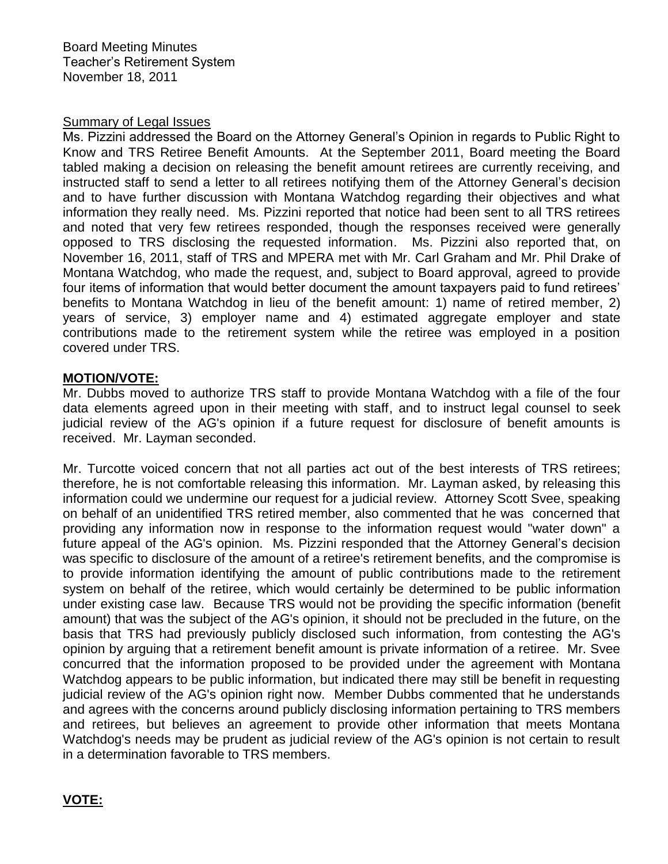### Summary of Legal Issues

Ms. Pizzini addressed the Board on the Attorney General's Opinion in regards to Public Right to Know and TRS Retiree Benefit Amounts. At the September 2011, Board meeting the Board tabled making a decision on releasing the benefit amount retirees are currently receiving, and instructed staff to send a letter to all retirees notifying them of the Attorney General's decision and to have further discussion with Montana Watchdog regarding their objectives and what information they really need. Ms. Pizzini reported that notice had been sent to all TRS retirees and noted that very few retirees responded, though the responses received were generally opposed to TRS disclosing the requested information. Ms. Pizzini also reported that, on November 16, 2011, staff of TRS and MPERA met with Mr. Carl Graham and Mr. Phil Drake of Montana Watchdog, who made the request, and, subject to Board approval, agreed to provide four items of information that would better document the amount taxpayers paid to fund retirees' benefits to Montana Watchdog in lieu of the benefit amount: 1) name of retired member, 2) years of service, 3) employer name and 4) estimated aggregate employer and state contributions made to the retirement system while the retiree was employed in a position covered under TRS.

### **MOTION/VOTE:**

Mr. Dubbs moved to authorize TRS staff to provide Montana Watchdog with a file of the four data elements agreed upon in their meeting with staff, and to instruct legal counsel to seek judicial review of the AG's opinion if a future request for disclosure of benefit amounts is received. Mr. Layman seconded.

Mr. Turcotte voiced concern that not all parties act out of the best interests of TRS retirees; therefore, he is not comfortable releasing this information. Mr. Layman asked, by releasing this information could we undermine our request for a judicial review. Attorney Scott Svee, speaking on behalf of an unidentified TRS retired member, also commented that he was concerned that providing any information now in response to the information request would "water down" a future appeal of the AG's opinion. Ms. Pizzini responded that the Attorney General's decision was specific to disclosure of the amount of a retiree's retirement benefits, and the compromise is to provide information identifying the amount of public contributions made to the retirement system on behalf of the retiree, which would certainly be determined to be public information under existing case law. Because TRS would not be providing the specific information (benefit amount) that was the subject of the AG's opinion, it should not be precluded in the future, on the basis that TRS had previously publicly disclosed such information, from contesting the AG's opinion by arguing that a retirement benefit amount is private information of a retiree. Mr. Svee concurred that the information proposed to be provided under the agreement with Montana Watchdog appears to be public information, but indicated there may still be benefit in requesting judicial review of the AG's opinion right now. Member Dubbs commented that he understands and agrees with the concerns around publicly disclosing information pertaining to TRS members and retirees, but believes an agreement to provide other information that meets Montana Watchdog's needs may be prudent as judicial review of the AG's opinion is not certain to result in a determination favorable to TRS members.

# **VOTE:**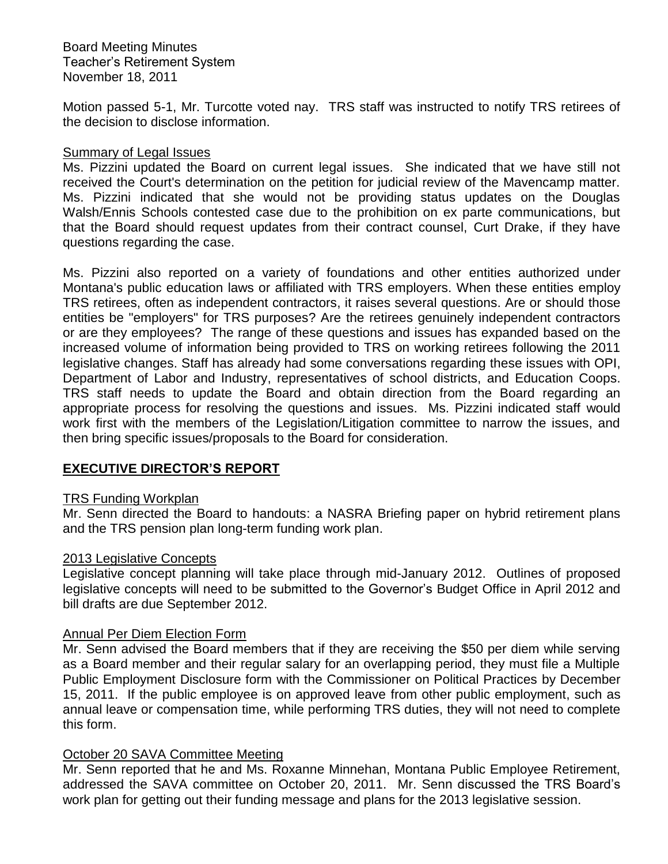Motion passed 5-1, Mr. Turcotte voted nay. TRS staff was instructed to notify TRS retirees of the decision to disclose information.

# Summary of Legal Issues

Ms. Pizzini updated the Board on current legal issues. She indicated that we have still not received the Court's determination on the petition for judicial review of the Mavencamp matter. Ms. Pizzini indicated that she would not be providing status updates on the Douglas Walsh/Ennis Schools contested case due to the prohibition on ex parte communications, but that the Board should request updates from their contract counsel, Curt Drake, if they have questions regarding the case.

Ms. Pizzini also reported on a variety of foundations and other entities authorized under Montana's public education laws or affiliated with TRS employers. When these entities employ TRS retirees, often as independent contractors, it raises several questions. Are or should those entities be "employers" for TRS purposes? Are the retirees genuinely independent contractors or are they employees? The range of these questions and issues has expanded based on the increased volume of information being provided to TRS on working retirees following the 2011 legislative changes. Staff has already had some conversations regarding these issues with OPI, Department of Labor and Industry, representatives of school districts, and Education Coops. TRS staff needs to update the Board and obtain direction from the Board regarding an appropriate process for resolving the questions and issues. Ms. Pizzini indicated staff would work first with the members of the Legislation/Litigation committee to narrow the issues, and then bring specific issues/proposals to the Board for consideration.

# **EXECUTIVE DIRECTOR'S REPORT**

#### TRS Funding Workplan

Mr. Senn directed the Board to handouts: a NASRA Briefing paper on hybrid retirement plans and the TRS pension plan long-term funding work plan.

#### 2013 Legislative Concepts

Legislative concept planning will take place through mid-January 2012. Outlines of proposed legislative concepts will need to be submitted to the Governor's Budget Office in April 2012 and bill drafts are due September 2012.

# Annual Per Diem Election Form

Mr. Senn advised the Board members that if they are receiving the \$50 per diem while serving as a Board member and their regular salary for an overlapping period, they must file a Multiple Public Employment Disclosure form with the Commissioner on Political Practices by December 15, 2011. If the public employee is on approved leave from other public employment, such as annual leave or compensation time, while performing TRS duties, they will not need to complete this form.

# October 20 SAVA Committee Meeting

Mr. Senn reported that he and Ms. Roxanne Minnehan, Montana Public Employee Retirement, addressed the SAVA committee on October 20, 2011. Mr. Senn discussed the TRS Board's work plan for getting out their funding message and plans for the 2013 legislative session.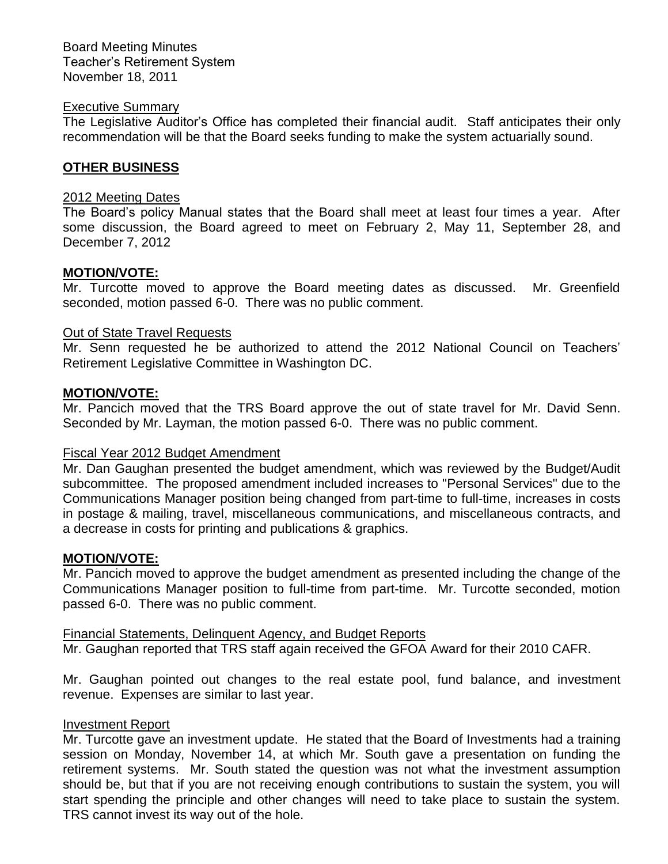#### Executive Summary

The Legislative Auditor's Office has completed their financial audit. Staff anticipates their only recommendation will be that the Board seeks funding to make the system actuarially sound.

### **OTHER BUSINESS**

#### 2012 Meeting Dates

The Board's policy Manual states that the Board shall meet at least four times a year. After some discussion, the Board agreed to meet on February 2, May 11, September 28, and December 7, 2012

#### **MOTION/VOTE:**

Mr. Turcotte moved to approve the Board meeting dates as discussed. Mr. Greenfield seconded, motion passed 6-0. There was no public comment.

#### Out of State Travel Requests

Mr. Senn requested he be authorized to attend the 2012 National Council on Teachers' Retirement Legislative Committee in Washington DC.

#### **MOTION/VOTE:**

Mr. Pancich moved that the TRS Board approve the out of state travel for Mr. David Senn. Seconded by Mr. Layman, the motion passed 6-0. There was no public comment.

#### Fiscal Year 2012 Budget Amendment

Mr. Dan Gaughan presented the budget amendment, which was reviewed by the Budget/Audit subcommittee. The proposed amendment included increases to "Personal Services" due to the Communications Manager position being changed from part-time to full-time, increases in costs in postage & mailing, travel, miscellaneous communications, and miscellaneous contracts, and a decrease in costs for printing and publications & graphics.

#### **MOTION/VOTE:**

Mr. Pancich moved to approve the budget amendment as presented including the change of the Communications Manager position to full-time from part-time. Mr. Turcotte seconded, motion passed 6-0. There was no public comment.

Financial Statements, Delinquent Agency, and Budget Reports Mr. Gaughan reported that TRS staff again received the GFOA Award for their 2010 CAFR.

Mr. Gaughan pointed out changes to the real estate pool, fund balance, and investment revenue. Expenses are similar to last year.

#### Investment Report

Mr. Turcotte gave an investment update. He stated that the Board of Investments had a training session on Monday, November 14, at which Mr. South gave a presentation on funding the retirement systems. Mr. South stated the question was not what the investment assumption should be, but that if you are not receiving enough contributions to sustain the system, you will start spending the principle and other changes will need to take place to sustain the system. TRS cannot invest its way out of the hole.